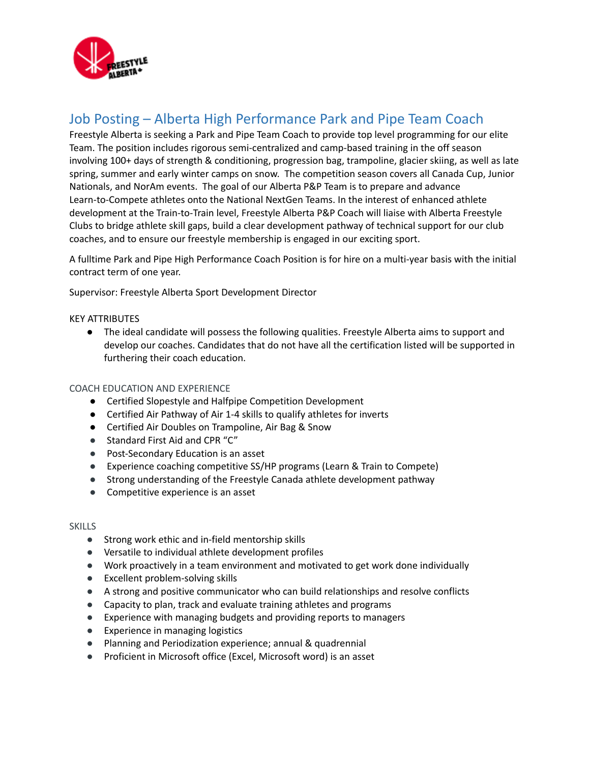

# Job Posting – Alberta High Performance Park and Pipe Team Coach

Freestyle Alberta is seeking a Park and Pipe Team Coach to provide top level programming for our elite Team. The position includes rigorous semi-centralized and camp-based training in the off season involving 100+ days of strength & conditioning, progression bag, trampoline, glacier skiing, as well as late spring, summer and early winter camps on snow. The competition season covers all Canada Cup, Junior Nationals, and NorAm events. The goal of our Alberta P&P Team is to prepare and advance Learn-to-Compete athletes onto the National NextGen Teams. In the interest of enhanced athlete development at the Train-to-Train level, Freestyle Alberta P&P Coach will liaise with Alberta Freestyle Clubs to bridge athlete skill gaps, build a clear development pathway of technical support for our club coaches, and to ensure our freestyle membership is engaged in our exciting sport.

A fulltime Park and Pipe High Performance Coach Position is for hire on a multi-year basis with the initial contract term of one year.

Supervisor: Freestyle Alberta Sport Development Director

## KEY ATTRIBUTES

● The ideal candidate will possess the following qualities. Freestyle Alberta aims to support and develop our coaches. Candidates that do not have all the certification listed will be supported in furthering their coach education.

### COACH EDUCATION AND EXPERIENCE

- Certified Slopestyle and Halfpipe Competition Development
- Certified Air Pathway of Air 1-4 skills to qualify athletes for inverts
- Certified Air Doubles on Trampoline, Air Bag & Snow
- Standard First Aid and CPR "C"
- Post-Secondary Education is an asset
- Experience coaching competitive SS/HP programs (Learn & Train to Compete)
- Strong understanding of the Freestyle Canada athlete development pathway
- Competitive experience is an asset

#### **SKILLS**

- Strong work ethic and in-field mentorship skills
- Versatile to individual athlete development profiles
- Work proactively in a team environment and motivated to get work done individually
- Excellent problem-solving skills
- A strong and positive communicator who can build relationships and resolve conflicts
- Capacity to plan, track and evaluate training athletes and programs
- Experience with managing budgets and providing reports to managers
- Experience in managing logistics
- Planning and Periodization experience; annual & quadrennial
- Proficient in Microsoft office (Excel, Microsoft word) is an asset